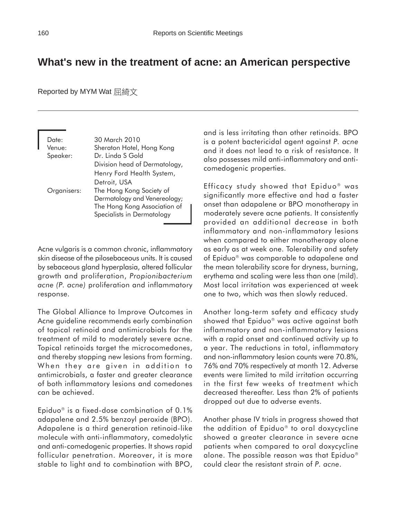## **What's new in the treatment of acne: an American perspective**

Reported by MYM Wat 屈綺文

| Date:<br>Venue:<br>Speaker: | 30 March 2010<br>Sheraton Hotel, Hong Kong<br>Dr. Linda S Gold                                                                         |
|-----------------------------|----------------------------------------------------------------------------------------------------------------------------------------|
|                             | Division head of Dermatology,<br>Henry Ford Health System,                                                                             |
| Organisers:                 | Detroit, USA<br>The Hong Kong Society of<br>Dermatology and Venereology;<br>The Hong Kong Association of<br>Specialists in Dermatology |

Acne vulgaris is a common chronic, inflammatory skin disease of the pilosebaceous units. It is caused by sebaceous gland hyperplasia, altered follicular growth and proliferation, *Propionibacterium acne (P. acne)* proliferation and inflammatory response.

The Global Alliance to Improve Outcomes in Acne guideline recommends early combination of topical retinoid and antimicrobials for the treatment of mild to moderately severe acne. Topical retinoids target the microcomedones, and thereby stopping new lesions from forming. When they are given in addition to antimicrobials, a faster and greater clearance of both inflammatory lesions and comedones can be achieved.

Epiduo<sup>®</sup> is a fixed-dose combination of  $0.1\%$ adapalene and 2.5% benzoyl peroxide (BPO). Adapalene is a third generation retinoid-like molecule with anti-inflammatory, comedolytic and anti-comedogenic properties. It shows rapid follicular penetration. Moreover, it is more stable to light and to combination with BPO, and is less irritating than other retinoids. BPO is a potent bactericidal agent against *P. acne* and it does not lead to a risk of resistance. It also possesses mild anti-inflammatory and anticomedogenic properties.

Efficacy study showed that Epiduo<sup>®</sup> was significantly more effective and had a faster onset than adapalene or BPO monotherapy in moderately severe acne patients. It consistently provided an additional decrease in both inflammatory and non-inflammatory lesions when compared to either monotherapy alone as early as at week one. Tolerability and safety of Epiduo<sup>®</sup> was comparable to adapalene and the mean tolerability score for dryness, burning, erythema and scaling were less than one (mild). Most local irritation was experienced at week one to two, which was then slowly reduced.

Another long-term safety and efficacy study showed that Epiduo<sup>®</sup> was active against both inflammatory and non-inflammatory lesions with a rapid onset and continued activity up to a year. The reductions in total, inflammatory and non-inflammatory lesion counts were 70.8%, 76% and 70% respectively at month 12. Adverse events were limited to mild irritation occurring in the first few weeks of treatment which decreased thereafter. Less than 2% of patients dropped out due to adverse events.

Another phase IV trials in progress showed that the addition of Epiduo<sup>®</sup> to oral doxycycline showed a greater clearance in severe acne patients when compared to oral doxycycline alone. The possible reason was that Epiduo could clear the resistant strain of *P. acne*.